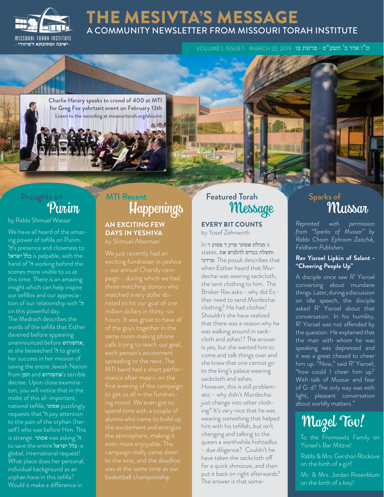

### THE MESIVTA'S MESSAGE A COMMUNITY NEWSLETTER FROM MISSOURI TORAH INSTITUTE

ט"ו אדר ב' תשע"ט · פרשת צו · 2019 22, MARCH · 1 ISSUE 1, VOLUME

Charlie Harary speaks to crowd of 400 at MTI for Greg Fox yahrtzeit event on February 13th Listen to the recording at missouritorah.org/shiurim

# Thoughts on

by Rabbi Shmuel Wasser

We have all heard of the amazing power of tefilla on Purim. 'ה's presence and closeness to ישראל is palpable, with the hand of 'ה working behind the scenes more visible to us at this time. There is an amazing insight which can help inspire our tefillos and our appreciation of our relationship with 'ה on this powerful day. The Medrash describes the words of the tefilla that Esther davened before appearing unannounced before אחשורוש, as she beseeched 'ה to grant her success in her mission of saving the entire Jewish Nation from המן and אחשורוש's terrible decree. Upon close examinaton, you will notice that in the midst of this all-important, national tefilla, אסתר puzzlingly requests that 'ה pay attention to the pain of the orphan (herself) who was before Him. This is strange. אסתר was asking 'ה to save the entire ישראל-a global, international request! What place does her personal, individual background as an orphan have in this tefilla? Would it make a difference in

## Happenings MTI Recent Featured Torah

#### **AN EXCITING FEW DAYS IN YESHIVA**

three matching donors who to get us all in the fundraisalumni who came to build up the excitement and energize the atmosphere, making it campaign really came down to the wire, and the deadline

**EVERY BIT COUNTS** by Yosef Zehnwirth

 it מגילת אסתר פרק ד פסוק ד In ותשלח בגדים להלביש את ,states מרדכי. The posuk describes that when Esther heard that Mordechai was wearing sackcloth, she sent clothing to him. The Brisker Rav asks - why did Esther need to send Mordechai clothing? He had clothes! Shouldn't she have realized that there was a reason why he was walking around in sackcloth and ashes!? The answer is yes, but she wanted him to come and talk things over and she knew that one cannot go to the king's palace wearing sackcloth and ashes. However, this is still problematic - why didn't Mordechai just change into other clothing? It's very nice that he was wearing something that helped him with his tefillah, but isn't changing and talking to the queen a worthwhile hishtadlus - due diligence? Couldn't he have taken the sackcloth off for a quick shmooze, and then put it back on right afterwards? The answer is that some-

# red Torah Sparks of Sparks of Mussar

*Reprinted with permission from "Sparks of Mussar" by Rabbi Chaim Ephraim Zaitchik, Feldheim Publishers*

#### **Rav Yisroel Lipkin of Salant - "Cheering People Up"**

A disciple once saw R' Yisroel conversing about mundane things. Later, during a discussion on idle speech, the disciple asked R' Yisroel about that conversation. In his humility, R' Yisroel was not offended by the question. He explained that the man with whom he was speaking was depressed and it was a great chesed to cheer him up. "Now," said R' Yisroel, "how could I cheer him up? With talk of Mussar and fear of G-d? The only way was with light, pleasant conversation about worldly matters."

# Mazel Tov!

To the Fromowitz Family on Yisrael's Bar Mitzva!

Rabbi & Mrs. Gershon Rockove on the birth of a girl!

Mr. & Mrs. Jordan Rosenblum on the birth of a boy!